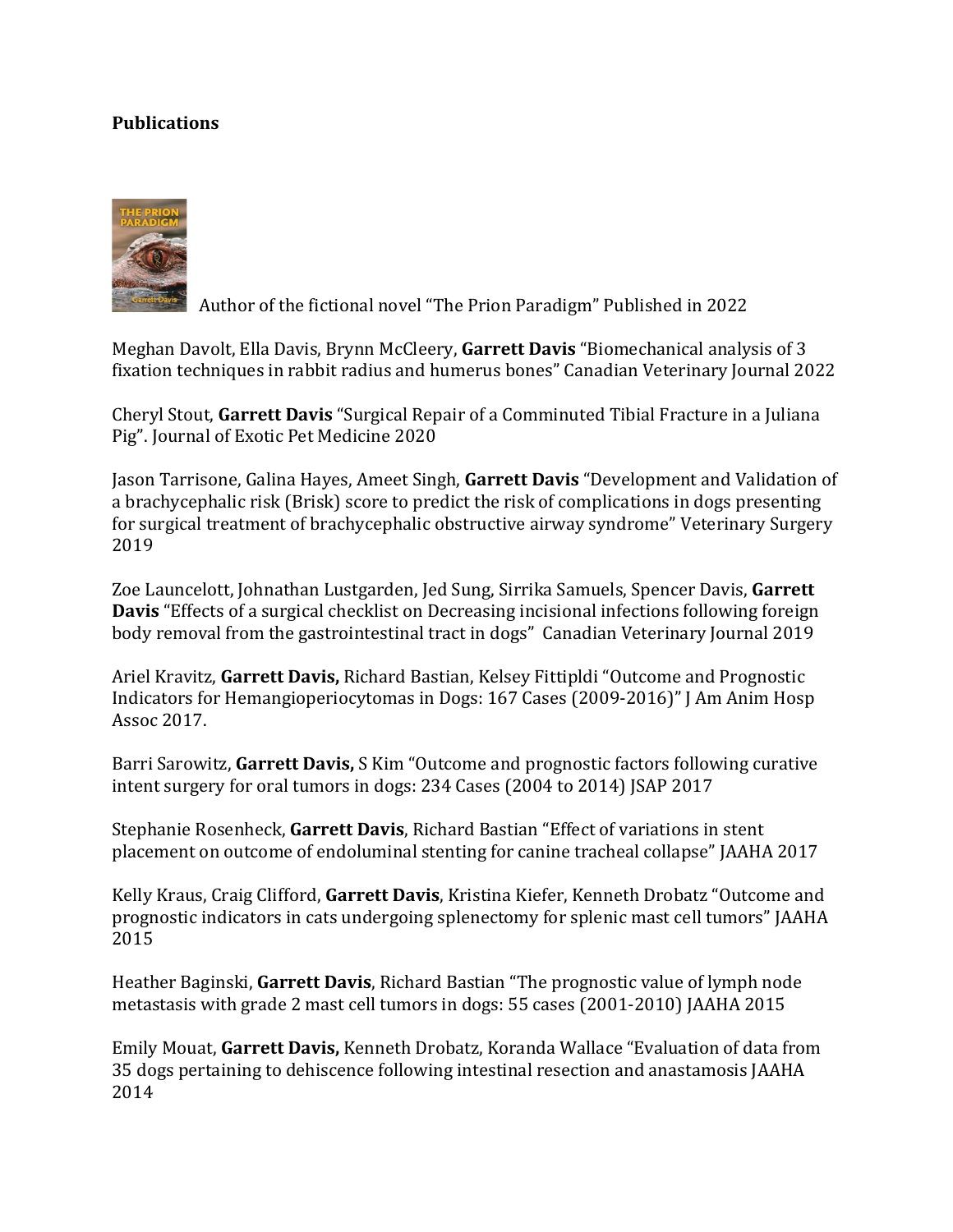## **Publications**



Author of the fictional novel "The Prion Paradigm" Published in 2022

Meghan Davolt, Ella Davis, Brynn McCleery, **Garrett Davis** "Biomechanical analysis of 3 fixation techniques in rabbit radius and humerus bones" Canadian Veterinary Journal 2022

Cheryl Stout, **Garrett Davis** "Surgical Repair of a Comminuted Tibial Fracture in a Juliana Pig". Journal of Exotic Pet Medicine 2020

Jason Tarrisone, Galina Hayes, Ameet Singh, **Garrett Davis** "Development and Validation of a brachycephalic risk (Brisk) score to predict the risk of complications in dogs presenting for surgical treatment of brachycephalic obstructive airway syndrome" Veterinary Surgery 2019

Zoe Launcelott, Johnathan Lustgarden, Jed Sung, Sirrika Samuels, Spencer Davis, **Garrett Davis** "Effects of a surgical checklist on Decreasing incisional infections following foreign body removal from the gastrointestinal tract in dogs" Canadian Veterinary Journal 2019

Ariel Kravitz, **Garrett Davis,** Richard Bastian, Kelsey Fittipldi "Outcome and Prognostic Indicators for Hemangioperiocytomas in Dogs: 167 Cases (2009-2016)" J Am Anim Hosp Assoc 2017.

Barri Sarowitz, **Garrett Davis,** S Kim "Outcome and prognostic factors following curative intent surgery for oral tumors in dogs: 234 Cases (2004 to 2014) JSAP 2017

Stephanie Rosenheck, **Garrett Davis**, Richard Bastian "Effect of variations in stent placement on outcome of endoluminal stenting for canine tracheal collapse" JAAHA 2017

Kelly Kraus, Craig Clifford, **Garrett Davis**, Kristina Kiefer, Kenneth Drobatz "Outcome and prognostic indicators in cats undergoing splenectomy for splenic mast cell tumors" JAAHA 2015

Heather Baginski, **Garrett Davis**, Richard Bastian "The prognostic value of lymph node metastasis with grade 2 mast cell tumors in dogs: 55 cases (2001-2010) JAAHA 2015

Emily Mouat, **Garrett Davis,** Kenneth Drobatz, Koranda Wallace "Evaluation of data from 35 dogs pertaining to dehiscence following intestinal resection and anastamosis JAAHA 2014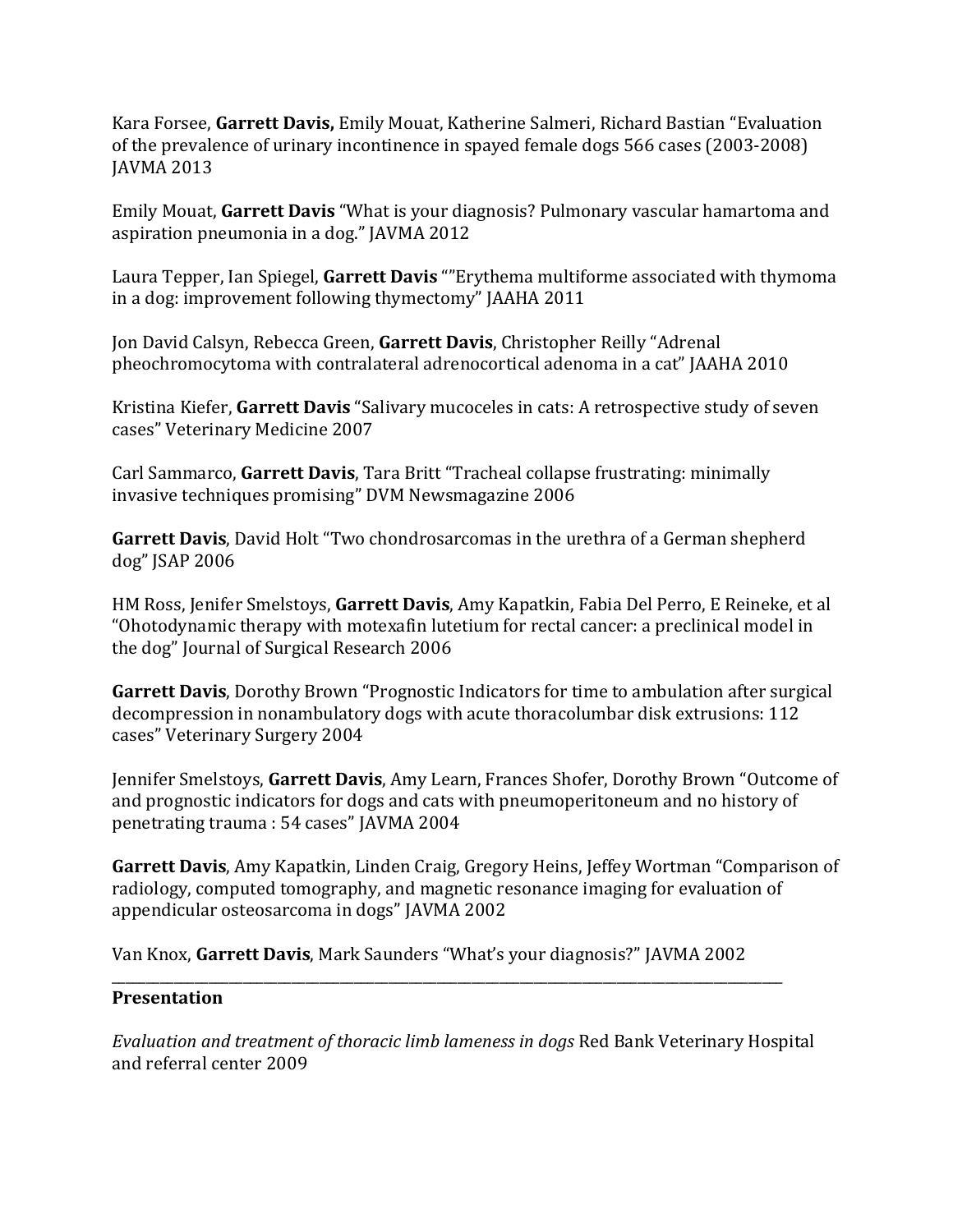Kara Forsee, **Garrett Davis,** Emily Mouat, Katherine Salmeri, Richard Bastian "Evaluation of the prevalence of urinary incontinence in spayed female dogs 566 cases (2003-2008) JAVMA 2013

Emily Mouat, **Garrett Davis** "What is your diagnosis? Pulmonary vascular hamartoma and aspiration pneumonia in a dog." JAVMA 2012

Laura Tepper, Ian Spiegel, **Garrett Davis** ""Erythema multiforme associated with thymoma in a dog: improvement following thymectomy" JAAHA 2011

Jon David Calsyn, Rebecca Green, **Garrett Davis**, Christopher Reilly "Adrenal pheochromocytoma with contralateral adrenocortical adenoma in a cat" JAAHA 2010

Kristina Kiefer, **Garrett Davis** "Salivary mucoceles in cats: A retrospective study of seven cases" Veterinary Medicine 2007

Carl Sammarco, **Garrett Davis**, Tara Britt "Tracheal collapse frustrating: minimally invasive techniques promising" DVM Newsmagazine 2006

**Garrett Davis**, David Holt "Two chondrosarcomas in the urethra of a German shepherd dog" JSAP 2006

HM Ross, Jenifer Smelstoys, **Garrett Davis**, Amy Kapatkin, Fabia Del Perro, E Reineke, et al "Ohotodynamic therapy with motexafin lutetium for rectal cancer: a preclinical model in the dog" Journal of Surgical Research 2006

**Garrett Davis**, Dorothy Brown "Prognostic Indicators for time to ambulation after surgical decompression in nonambulatory dogs with acute thoracolumbar disk extrusions: 112 cases" Veterinary Surgery 2004

Jennifer Smelstoys, **Garrett Davis**, Amy Learn, Frances Shofer, Dorothy Brown "Outcome of and prognostic indicators for dogs and cats with pneumoperitoneum and no history of penetrating trauma : 54 cases" JAVMA 2004

**Garrett Davis**, Amy Kapatkin, Linden Craig, Gregory Heins, Jeffey Wortman "Comparison of radiology, computed tomography, and magnetic resonance imaging for evaluation of appendicular osteosarcoma in dogs" JAVMA 2002

Van Knox, **Garrett Davis**, Mark Saunders "What's your diagnosis?" JAVMA 2002

## \_\_\_\_\_\_\_\_\_\_\_\_\_\_\_\_\_\_\_\_\_\_\_\_\_\_\_\_\_\_\_\_\_\_\_\_\_\_\_\_\_\_\_\_\_\_\_\_\_\_\_\_\_\_\_\_\_\_\_\_\_\_\_\_\_\_\_\_\_\_\_\_\_\_\_\_\_\_\_\_\_\_\_\_\_\_\_\_\_\_\_\_\_\_\_\_\_ **Presentation**

*Evaluation and treatment of thoracic limb lameness in dogs* Red Bank Veterinary Hospital and referral center 2009